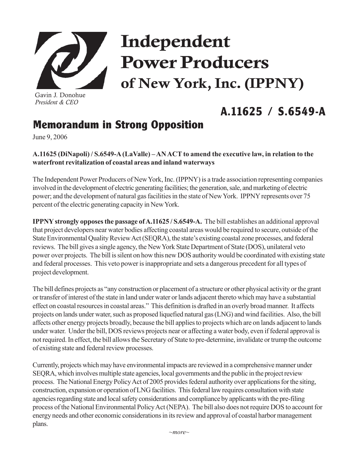

Gavin J. Donohue *President & CEO*

# Independent Power Producers of New York, Inc. (IPPNY)

## **A.11625 / S.6549-A**

### **Memorandum in Strong Opposition**

June 9, 2006

### **A.11625 (DiNapoli) / S.6549-A (LaValle) – AN ACT to amend the executive law, in relation to the waterfront revitalization of coastal areas and inland waterways**

The Independent Power Producers of New York, Inc. (IPPNY) is a trade association representing companies involved in the development of electric generating facilities; the generation, sale, and marketing of electric power; and the development of natural gas facilities in the state of New York. IPPNY represents over 75 percent of the electric generating capacity in New York.

**IPPNY strongly opposes the passage of A.11625 / S.6549-A.** The bill establishes an additional approval that project developers near water bodies affecting coastal areas would be required to secure, outside of the State Environmental Quality Review Act (SEQRA), the state's existing coastal zone processes, and federal reviews. The bill gives a single agency, the New York State Department of State (DOS), unilateral veto power over projects. The bill is silent on how this new DOS authority would be coordinated with existing state and federal processes. This veto power is inappropriate and sets a dangerous precedent for all types of project development.

The bill defines projects as "any construction or placement of a structure or other physical activity or the grant or transfer of interest of the state in land under water or lands adjacent thereto which may have a substantial effect on coastal resources in coastal areas." This definition is drafted in an overly broad manner. It affects projects on lands under water, such as proposed liquefied natural gas (LNG) and wind facilities. Also, the bill affects other energy projects broadly, because the bill applies to projects which are on lands adjacent to lands under water. Under the bill, DOS reviews projects near or affecting a water body, even if federal approval is not required. In effect, the bill allows the Secretary of State to pre-determine, invalidate or trump the outcome of existing state and federal review processes.

Currently, projects which may have environmental impacts are reviewed in a comprehensive manner under SEQRA, which involves multiple state agencies, local governments and the public in the project review process. The National Energy Policy Act of 2005 provides federal authority over applications for the siting, construction, expansion or operation of LNG facilities. This federal law requires consultation with state agencies regarding state and local safety considerations and compliance by applicants with the pre-filing process of the National Environmental Policy Act (NEPA). The bill also does not require DOS to account for energy needs and other economic considerations in its review and approval of coastal harbor management plans.